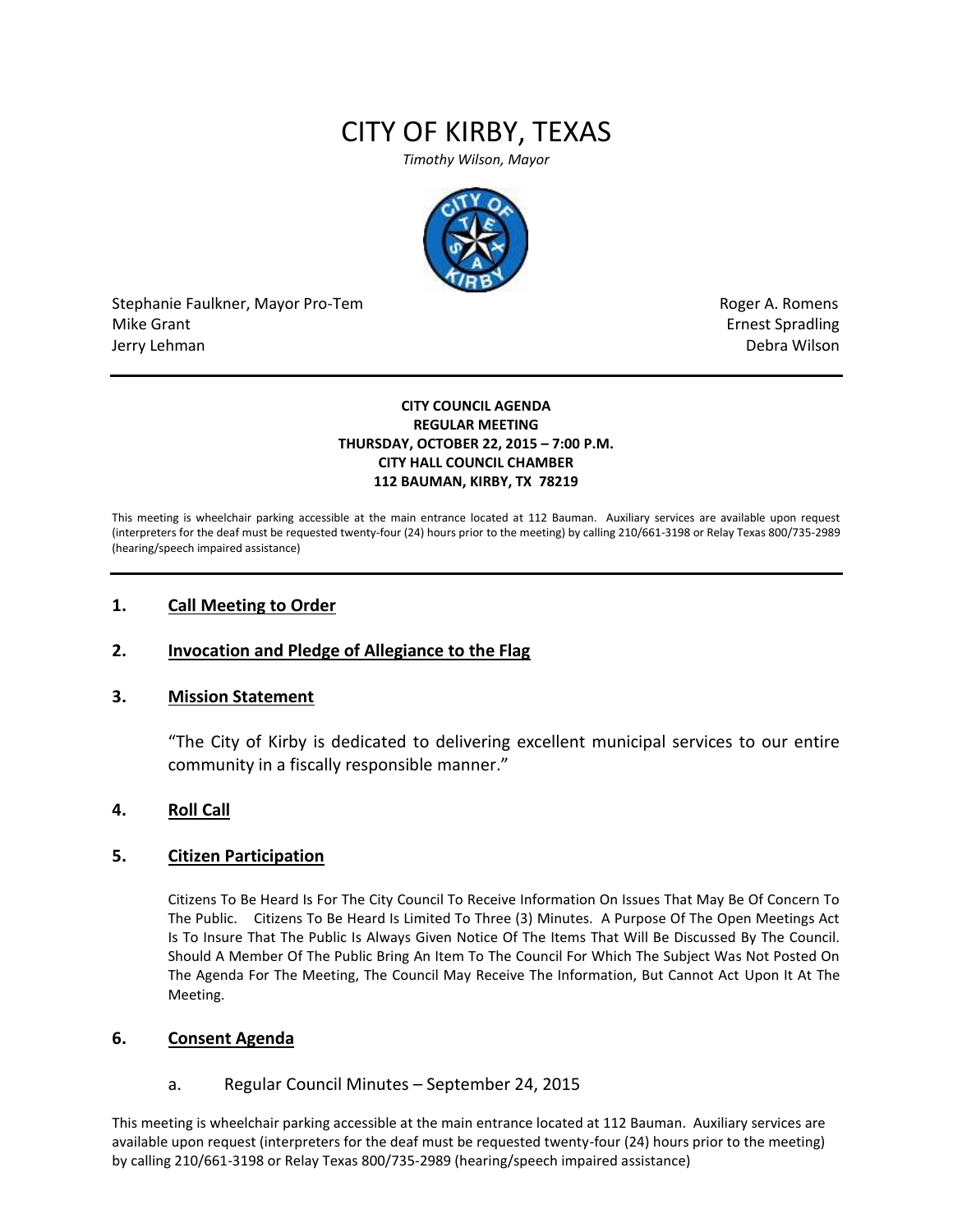# CITY OF KIRBY, TEXAS

*Timothy Wilson, Mayor*



Stephanie Faulkner, Mayor Pro-Tem **Roger A. Romens** Roger A. Romens Mike Grant **Example 2018** and the set of the set of the set of the set of the set of the set of the set of the set of the set of the set of the set of the set of the set of the set of the set of the set of the set of the s Jerry Lehman Debra Wilson

#### **CITY COUNCIL AGENDA REGULAR MEETING THURSDAY, OCTOBER 22, 2015 – 7:00 P.M. CITY HALL COUNCIL CHAMBER 112 BAUMAN, KIRBY, TX 78219**

This meeting is wheelchair parking accessible at the main entrance located at 112 Bauman. Auxiliary services are available upon request (interpreters for the deaf must be requested twenty-four (24) hours prior to the meeting) by calling 210/661-3198 or Relay Texas 800/735-2989 (hearing/speech impaired assistance)

### **1. Call Meeting to Order**

## **2. Invocation and Pledge of Allegiance to the Flag**

### **3. Mission Statement**

"The City of Kirby is dedicated to delivering excellent municipal services to our entire community in a fiscally responsible manner."

### **4. Roll Call**

### **5. Citizen Participation**

Citizens To Be Heard Is For The City Council To Receive Information On Issues That May Be Of Concern To The Public. Citizens To Be Heard Is Limited To Three (3) Minutes. A Purpose Of The Open Meetings Act Is To Insure That The Public Is Always Given Notice Of The Items That Will Be Discussed By The Council. Should A Member Of The Public Bring An Item To The Council For Which The Subject Was Not Posted On The Agenda For The Meeting, The Council May Receive The Information, But Cannot Act Upon It At The Meeting.

### **6. Consent Agenda**

### a. Regular Council Minutes – September 24, 2015

This meeting is wheelchair parking accessible at the main entrance located at 112 Bauman. Auxiliary services are available upon request (interpreters for the deaf must be requested twenty-four (24) hours prior to the meeting) by calling 210/661-3198 or Relay Texas 800/735-2989 (hearing/speech impaired assistance)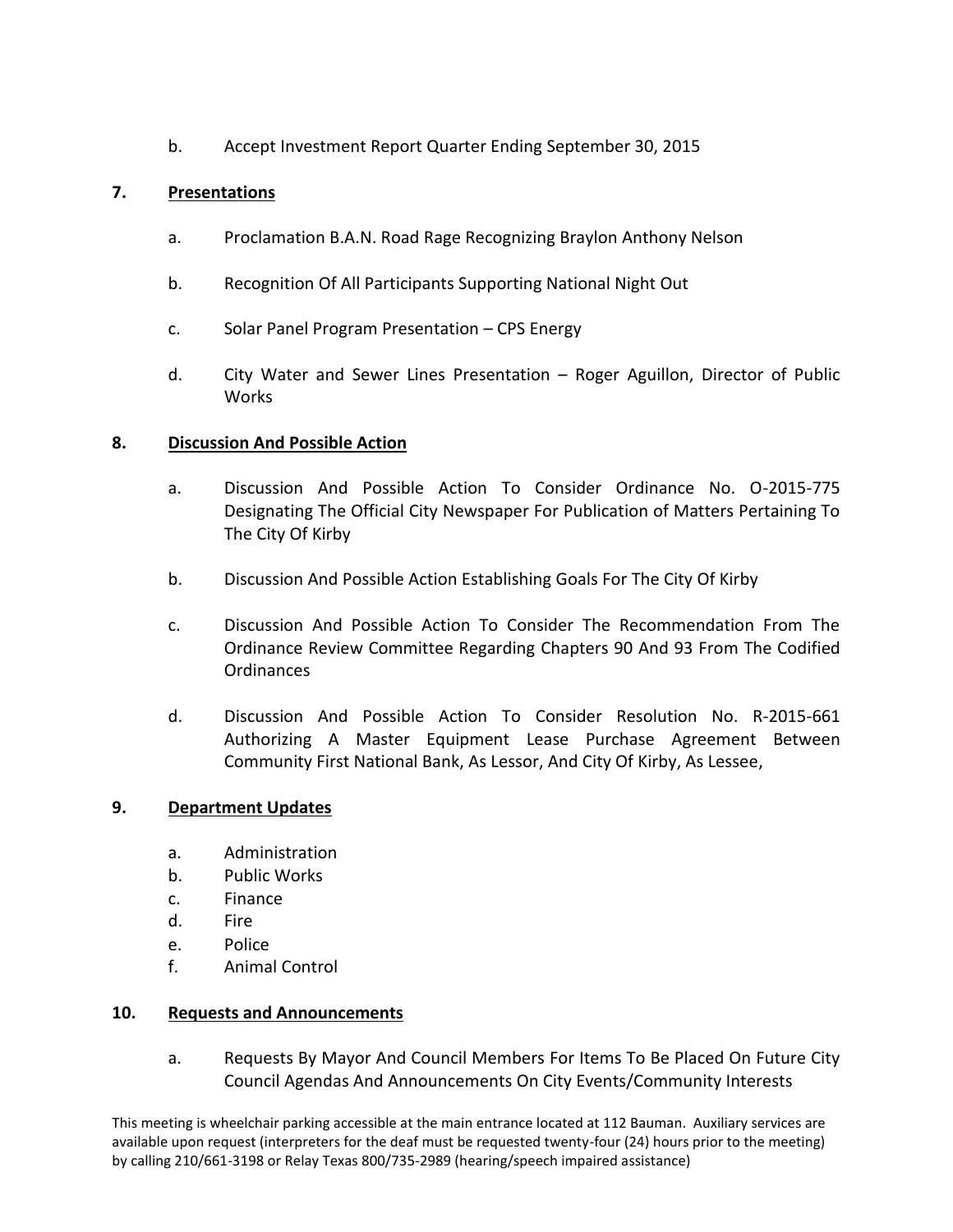b. Accept Investment Report Quarter Ending September 30, 2015

# **7. Presentations**

- a. Proclamation B.A.N. Road Rage Recognizing Braylon Anthony Nelson
- b. Recognition Of All Participants Supporting National Night Out
- c. Solar Panel Program Presentation CPS Energy
- d. City Water and Sewer Lines Presentation Roger Aguillon, Director of Public Works

## **8. Discussion And Possible Action**

- a. Discussion And Possible Action To Consider Ordinance No. O-2015-775 Designating The Official City Newspaper For Publication of Matters Pertaining To The City Of Kirby
- b. Discussion And Possible Action Establishing Goals For The City Of Kirby
- c. Discussion And Possible Action To Consider The Recommendation From The Ordinance Review Committee Regarding Chapters 90 And 93 From The Codified Ordinances
- d. Discussion And Possible Action To Consider Resolution No. R-2015-661 Authorizing A Master Equipment Lease Purchase Agreement Between Community First National Bank, As Lessor, And City Of Kirby, As Lessee,

## **9. Department Updates**

- a. Administration
- b. Public Works
- c. Finance
- d. Fire
- e. Police
- f. Animal Control

## **10. Requests and Announcements**

a. Requests By Mayor And Council Members For Items To Be Placed On Future City Council Agendas And Announcements On City Events/Community Interests

This meeting is wheelchair parking accessible at the main entrance located at 112 Bauman. Auxiliary services are available upon request (interpreters for the deaf must be requested twenty-four (24) hours prior to the meeting) by calling 210/661-3198 or Relay Texas 800/735-2989 (hearing/speech impaired assistance)